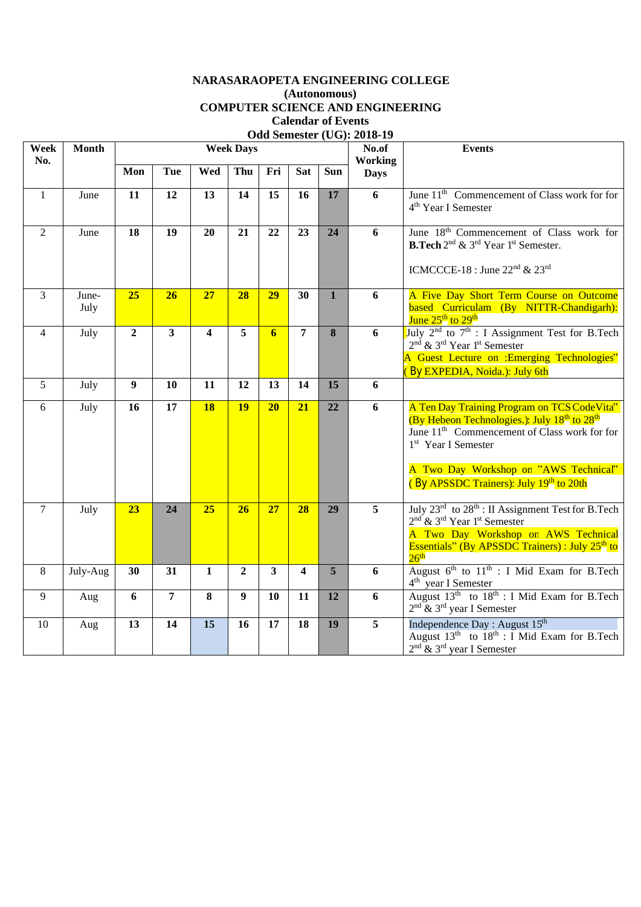## **NARASARAOPETA ENGINEERING COLLEGE (Autonomous) COMPUTER SCIENCE AND ENGINEERING Calendar of Events Odd Semester (UG): 2018-19**

| Week<br>No.    | <b>Month</b>  |                 |                 |                         | <b>Week Days</b> |                         |                         |              | No.of<br><b>Working</b> | <b>Events</b>                                                                                                                                                                                                                                                                                          |
|----------------|---------------|-----------------|-----------------|-------------------------|------------------|-------------------------|-------------------------|--------------|-------------------------|--------------------------------------------------------------------------------------------------------------------------------------------------------------------------------------------------------------------------------------------------------------------------------------------------------|
|                |               | Mon             | Tue             | Wed                     | Thu              | Fri                     | <b>Sat</b>              | Sun          | <b>Days</b>             |                                                                                                                                                                                                                                                                                                        |
| $\mathbf{1}$   | June          | 11              | 12              | 13                      | 14               | 15                      | 16                      | 17           | 6                       | June 11 <sup>th</sup> Commencement of Class work for for<br>4 <sup>th</sup> Year I Semester                                                                                                                                                                                                            |
| 2              | June          | $\overline{18}$ | $\overline{19}$ | 20                      | 21               | 22                      | 23                      | 24           | 6                       | June 18 <sup>th</sup> Commencement of Class work for<br><b>B.Tech</b> 2 <sup>nd</sup> & 3 <sup>rd</sup> Year 1 <sup>st</sup> Semester.<br>ICMCCCE-18 : June $22nd$ & $23rd$                                                                                                                            |
| $\overline{3}$ | June-<br>July | 25              | 26              | 27                      | 28               | 29                      | 30                      | $\mathbf{1}$ | 6                       | A Five Day Short Term Course on Outcome<br>based Curriculam (By NITTR-Chandigarh):<br>June 25 <sup>th</sup> to 29 <sup>th</sup>                                                                                                                                                                        |
| $\overline{4}$ | July          | $\overline{2}$  | $\mathbf{3}$    | $\overline{\mathbf{4}}$ | 5                | 6                       | $\overline{7}$          | 8            | 6                       | July $2^{nd}$ to $7^{th}$ : I Assignment Test for B.Tech<br>2 <sup>nd</sup> & 3 <sup>rd</sup> Year 1 <sup>st</sup> Semester<br>A Guest Lecture on :Emerging Technologies"<br>(By EXPEDIA, Noida.): July 6th                                                                                            |
| 5              | July          | 9               | 10              | 11                      | 12               | 13                      | 14                      | 15           | 6                       |                                                                                                                                                                                                                                                                                                        |
| 6              | July          | 16              | 17              | <b>18</b>               | <b>19</b>        | 20                      | 21                      | 22           | 6                       | A Ten Day Training Program on TCS CodeVita"<br>(By Hebeon Technologies.): July 18 <sup>th</sup> to 28 <sup>th</sup><br>June 11 <sup>th</sup> Commencement of Class work for for<br>1 <sup>st</sup> Year I Semester<br>A Two Day Workshop on "AWS Technical"<br>(By APSSDC Trainers): July 19th to 20th |
| $\overline{7}$ | July          | 23              | 24              | $\overline{25}$         | 26               | 27                      | 28                      | 29           | 5                       | July $23^{rd}$ to $28^{th}$ : II Assignment Test for B. Tech<br>2 <sup>nd</sup> & 3 <sup>rd</sup> Year 1 <sup>st</sup> Semester<br>A Two Day Workshop on AWS Technical<br><b>Essentials</b> " (By APSSDC Trainers) : July 25 <sup>th</sup> to<br>26 <sup>th</sup>                                      |
| 8              | July-Aug      | 30              | 31              | $\mathbf{1}$            | $\overline{2}$   | $\overline{\mathbf{3}}$ | $\overline{\mathbf{4}}$ | 5            | 6                       | August $6^{th}$ to $11^{th}$ : I Mid Exam for B.Tech<br>4 <sup>th</sup> year I Semester                                                                                                                                                                                                                |
| 9              | Aug           | 6               | $\overline{7}$  | 8                       | 9                | 10                      | 11                      | 12           | 6                       | August $13^{th}$ to $18^{th}$ : I Mid Exam for B.Tech<br>$2nd$ & $3rd$ year I Semester                                                                                                                                                                                                                 |
| 10             | Aug           | 13              | 14              | 15                      | 16               | 17                      | 18                      | 19           | 5                       | Independence Day : August 15 <sup>th</sup><br>August $13th$ to $18th$ : I Mid Exam for B.Tech<br>$2nd$ & $3rd$ year I Semester                                                                                                                                                                         |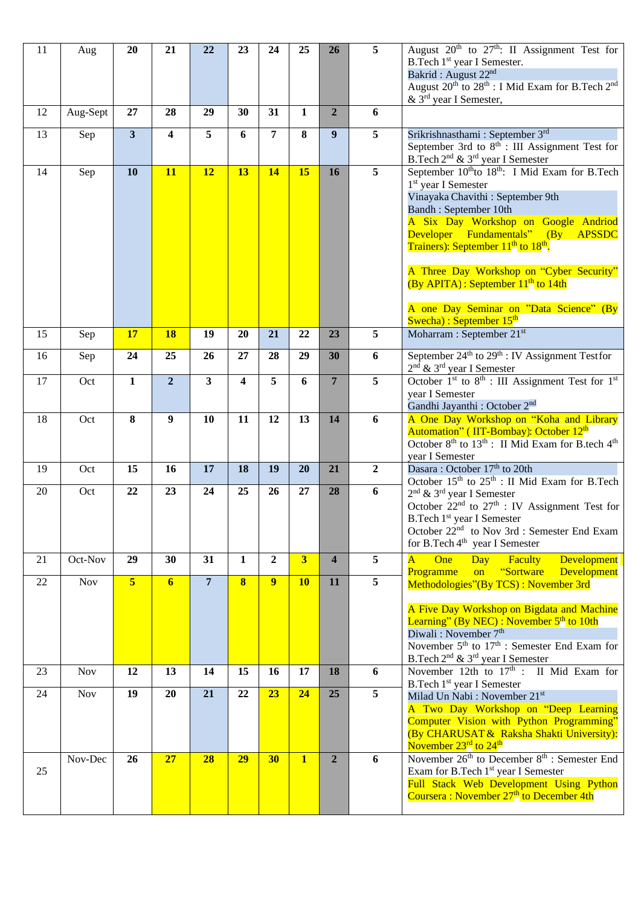| 11 | Aug        | 20                      | 21                      | 22                      | 23           | 24             | 25                      | 26                      | 5               | August 20 <sup>th</sup> to 27 <sup>th</sup> : II Assignment Test for<br>B.Tech 1 <sup>st</sup> year I Semester.<br>Bakrid: August 22 <sup>nd</sup><br>August 20 <sup>th</sup> to 28 <sup>th</sup> : I Mid Exam for B.Tech 2 <sup>nd</sup><br>& 3 <sup>rd</sup> year I Semester,                                                                                                                                                                                                                                    |
|----|------------|-------------------------|-------------------------|-------------------------|--------------|----------------|-------------------------|-------------------------|-----------------|--------------------------------------------------------------------------------------------------------------------------------------------------------------------------------------------------------------------------------------------------------------------------------------------------------------------------------------------------------------------------------------------------------------------------------------------------------------------------------------------------------------------|
| 12 | Aug-Sept   | 27                      | 28                      | 29                      | 30           | 31             | $\mathbf{1}$            | $\overline{2}$          | 6               |                                                                                                                                                                                                                                                                                                                                                                                                                                                                                                                    |
| 13 | Sep        | $\overline{\mathbf{3}}$ | $\overline{\mathbf{4}}$ | 5                       | 6            | 7              | 8                       | 9                       | 5               | Srikrishnasthami: September 3rd<br>September 3rd to 8 <sup>th</sup> : III Assignment Test for<br>B.Tech 2 <sup>nd</sup> & 3 <sup>rd</sup> year I Semester                                                                                                                                                                                                                                                                                                                                                          |
| 14 | Sep        | 10                      | 11                      | 12                      | 13           | <b>14</b>      | 15                      | 16                      | $\overline{5}$  | September 10 <sup>th</sup> to 18 <sup>th</sup> : I Mid Exam for B.Tech<br>1 <sup>st</sup> year I Semester<br>Vinayaka Chavithi: September 9th<br>Bandh: September 10th<br>A Six Day Workshop on Google Andriod<br>Developer Fundamentals" (By<br>APSSDC<br>Trainers): September 11 <sup>th</sup> to 18 <sup>th</sup> .<br>A Three Day Workshop on "Cyber Security"<br>$(By \text{ APITA})$ : September $11^{\text{th}}$ to 14th<br>A one Day Seminar on "Data Science" (By<br>Swecha) : September 15 <sup>th</sup> |
| 15 | Sep        | 17                      | 18                      | 19                      | 20           | 21             | 22                      | 23                      | 5               | Moharram : September 21 <sup>st</sup>                                                                                                                                                                                                                                                                                                                                                                                                                                                                              |
| 16 | Sep        | 24                      | 25                      | 26                      | 27           | 28             | 29                      | 30                      | 6               | September $24^{\text{th}}$ to $29^{\text{th}}$ : IV Assignment Testfor<br>$2nd$ & $3rd$ year I Semester                                                                                                                                                                                                                                                                                                                                                                                                            |
| 17 | Oct        | $\mathbf{1}$            | $\overline{2}$          | $\overline{\mathbf{3}}$ | 4            | 5              | 6                       | $\overline{7}$          | 5               | October $1st$ to $8th$ : III Assignment Test for $1st$<br>year I Semester<br>Gandhi Jayanthi: October 2 <sup>nd</sup>                                                                                                                                                                                                                                                                                                                                                                                              |
| 18 | Oct        | 8                       | $\boldsymbol{9}$        | 10                      | 11           | 12             | 13                      | 14                      | 6               | A One Day Workshop on "Koha and Library<br>Automation" (IIT-Bombay): October 12 <sup>th</sup><br>October 8 <sup>th</sup> to 13 <sup>th</sup> : II Mid Exam for B.tech 4 <sup>th</sup><br>year I Semester                                                                                                                                                                                                                                                                                                           |
| 19 | Oct        | 15                      | 16                      | 17                      | 18           | 19             | 20                      | 21                      | $\overline{2}$  | Dasara: October 17th to 20th<br>October $15^{th}$ to $25^{th}$ : II Mid Exam for B.Tech                                                                                                                                                                                                                                                                                                                                                                                                                            |
| 20 | Oct        | 22                      | 23                      | 24                      | 25           | 26             | 27                      | 28                      | 6               | $2nd$ & $3rd$ year I Semester<br>October $22^{nd}$ to $27^{th}$ : IV Assignment Test for<br>B.Tech 1 <sup>st</sup> year I Semester<br>October 22 <sup>nd</sup> to Nov 3rd : Semester End Exam<br>for B.Tech 4 <sup>th</sup> year I Semester                                                                                                                                                                                                                                                                        |
| 21 | Oct-Nov    | 29                      | 30                      | 31                      | $\mathbf{1}$ | $\overline{2}$ | $\overline{\mathbf{3}}$ | $\overline{\mathbf{4}}$ | 5               | $\overline{\mathbf{A}}$<br>One<br>Faculty<br><b>Development</b><br><b>Day</b><br>on "Sortware<br><b>Programme</b><br>Development                                                                                                                                                                                                                                                                                                                                                                                   |
| 22 | Nov        | 5 <sup>1</sup>          | $6 \overline{6}$        | $\overline{7}$          | $\bf{8}$     | 9              | <b>10</b>               | 11                      | $5\phantom{.0}$ | Methodologies"(By TCS): November 3rd<br>A Five Day Workshop on Bigdata and Machine<br>Learning" (By NEC) : November $5th$ to 10th<br>Diwali: November 7 <sup>th</sup><br>November 5 <sup>th</sup> to 17 <sup>th</sup> : Semester End Exam for<br>B.Tech 2 <sup>nd</sup> & 3 <sup>rd</sup> year I Semester                                                                                                                                                                                                          |
| 23 | <b>Nov</b> | 12                      | 13                      | 14                      | 15           | 16             | 17                      | 18                      | 6               | November 12th to 17 <sup>th</sup> : II Mid Exam for<br>B.Tech 1 <sup>st</sup> year I Semester                                                                                                                                                                                                                                                                                                                                                                                                                      |
| 24 | <b>Nov</b> | 19                      | 20                      | 21                      | 22           | 23             | 24                      | 25                      | 5               | Milad Un Nabi: November 21st<br>A Two Day Workshop on "Deep Learning<br>Computer Vision with Python Programming"<br>(By CHARUSAT & Raksha Shakti University):<br>November 23 <sup>rd</sup> to 24 <sup>th</sup>                                                                                                                                                                                                                                                                                                     |
| 25 | Nov-Dec    | 26                      | 27                      | 28                      | 29           | 30             | $\mathbf{1}$            | $\overline{2}$          | 6               | November 26 <sup>th</sup> to December 8 <sup>th</sup> : Semester End<br>Exam for B.Tech 1 <sup>st</sup> year I Semester<br>Full Stack Web Development Using Python<br>Coursera: November 27 <sup>th</sup> to December 4th                                                                                                                                                                                                                                                                                          |